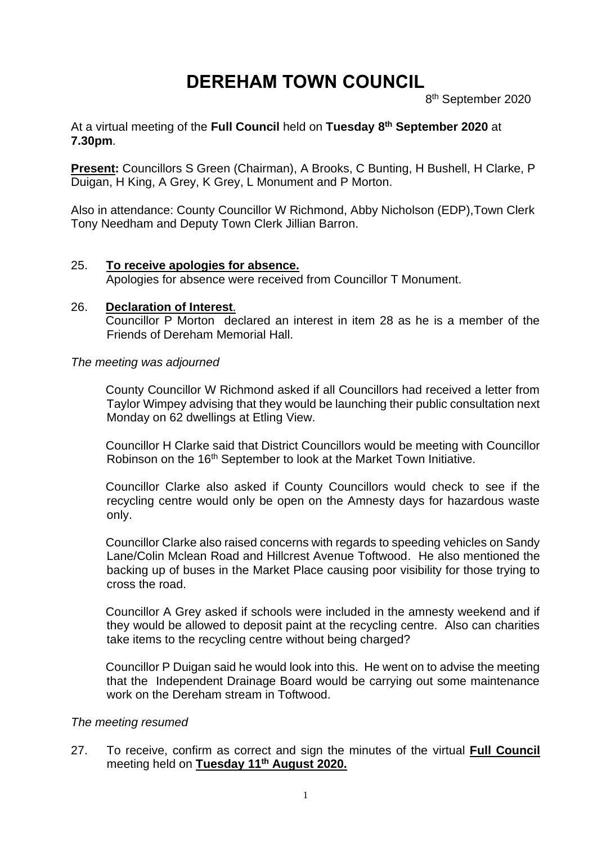# **DEREHAM TOWN COUNCIL**

en de la construction de la construction de la construction de la construction de la construction de la constr<br>Altres de la construction de la construction de la construction de la construction de la construction de la co 8<sup>th</sup> September 2020

At a virtual meeting of the **Full Council** held on **Tuesday 8 th September 2020** at **7.30pm**.

**Present:** Councillors S Green (Chairman), A Brooks, C Bunting, H Bushell, H Clarke, P Duigan, H King, A Grey, K Grey, L Monument and P Morton.

Also in attendance: County Councillor W Richmond, Abby Nicholson (EDP),Town Clerk Tony Needham and Deputy Town Clerk Jillian Barron.

#### 25. **To receive apologies for absence.**

Apologies for absence were received from Councillor T Monument.

#### 26. **Declaration of Interest**. Councillor P Morton declared an interest in item 28 as he is a member of the Friends of Dereham Memorial Hall.

*The meeting was adjourned*

County Councillor W Richmond asked if all Councillors had received a letter from Taylor Wimpey advising that they would be launching their public consultation next Monday on 62 dwellings at Etling View.

Councillor H Clarke said that District Councillors would be meeting with Councillor Robinson on the 16<sup>th</sup> September to look at the Market Town Initiative.

Councillor Clarke also asked if County Councillors would check to see if the recycling centre would only be open on the Amnesty days for hazardous waste only.

Councillor Clarke also raised concerns with regards to speeding vehicles on Sandy Lane/Colin Mclean Road and Hillcrest Avenue Toftwood. He also mentioned the backing up of buses in the Market Place causing poor visibility for those trying to cross the road.

Councillor A Grey asked if schools were included in the amnesty weekend and if they would be allowed to deposit paint at the recycling centre. Also can charities take items to the recycling centre without being charged?

Councillor P Duigan said he would look into this. He went on to advise the meeting that the Independent Drainage Board would be carrying out some maintenance work on the Dereham stream in Toftwood.

#### *The meeting resumed*

27. To receive, confirm as correct and sign the minutes of the virtual **Full Council**  meeting held on **Tuesday 11th August 2020.**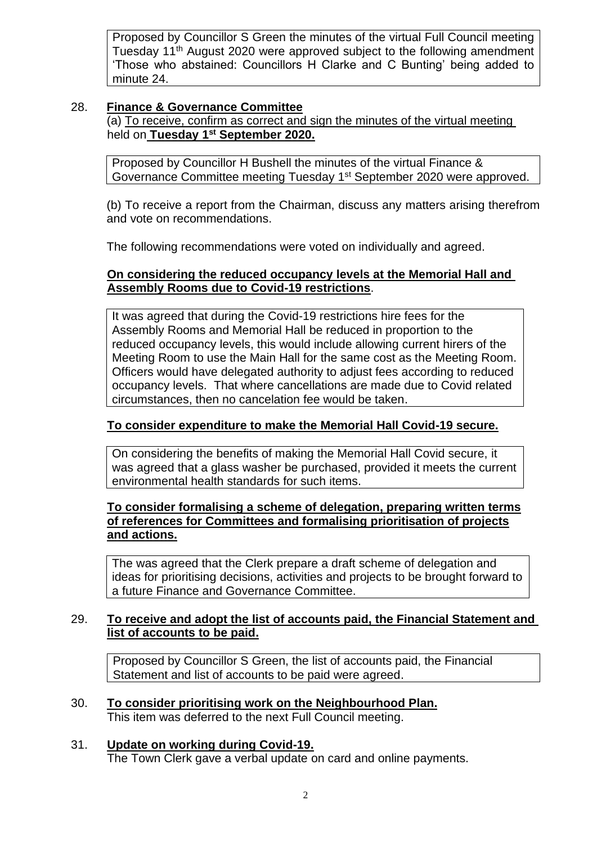Proposed by Councillor S Green the minutes of the virtual Full Council meeting Tuesday 11<sup>th</sup> August 2020 were approved subject to the following amendment 'Those who abstained: Councillors H Clarke and C Bunting' being added to minute 24.

#### 28. **Finance & Governance Committee**

(a) To receive, confirm as correct and sign the minutes of the virtual meeting held on **Tuesday 1 st September 2020.**

Proposed by Councillor H Bushell the minutes of the virtual Finance & Governance Committee meeting Tuesday 1<sup>st</sup> September 2020 were approved.

(b) To receive a report from the Chairman, discuss any matters arising therefrom and vote on recommendations.

The following recommendations were voted on individually and agreed.

#### **On considering the reduced occupancy levels at the Memorial Hall and Assembly Rooms due to Covid-19 restrictions**.

It was agreed that during the Covid-19 restrictions hire fees for the Assembly Rooms and Memorial Hall be reduced in proportion to the reduced occupancy levels, this would include allowing current hirers of the Meeting Room to use the Main Hall for the same cost as the Meeting Room. Officers would have delegated authority to adjust fees according to reduced occupancy levels. That where cancellations are made due to Covid related circumstances, then no cancelation fee would be taken.

#### **To consider expenditure to make the Memorial Hall Covid-19 secure.**

On considering the benefits of making the Memorial Hall Covid secure, it was agreed that a glass washer be purchased, provided it meets the current environmental health standards for such items.

#### **To consider formalising a scheme of delegation, preparing written terms of references for Committees and formalising prioritisation of projects and actions.**

The was agreed that the Clerk prepare a draft scheme of delegation and ideas for prioritising decisions, activities and projects to be brought forward to a future Finance and Governance Committee.

#### 29. **To receive and adopt the list of accounts paid, the Financial Statement and list of accounts to be paid.**

Proposed by Councillor S Green, the list of accounts paid, the Financial Statement and list of accounts to be paid were agreed.

- 30. **To consider prioritising work on the Neighbourhood Plan.** This item was deferred to the next Full Council meeting.
- 31. **Update on working during Covid-19.** The Town Clerk gave a verbal update on card and online payments.